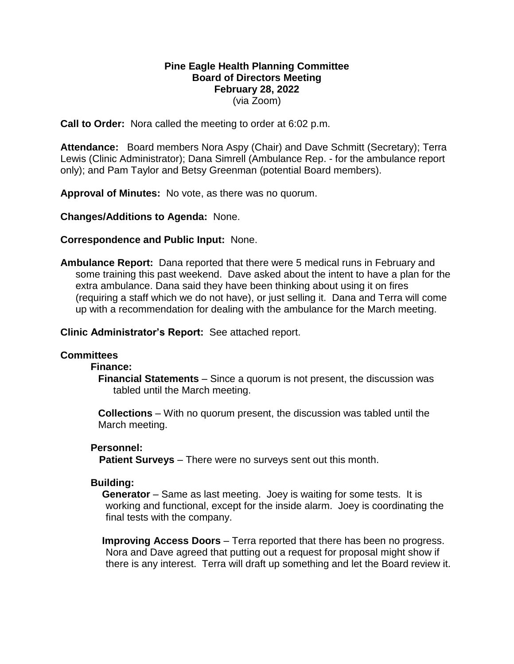## **Pine Eagle Health Planning Committee Board of Directors Meeting February 28, 2022** (via Zoom)

**Call to Order:** Nora called the meeting to order at 6:02 p.m.

**Attendance:** Board members Nora Aspy (Chair) and Dave Schmitt (Secretary); Terra Lewis (Clinic Administrator); Dana Simrell (Ambulance Rep. - for the ambulance report only); and Pam Taylor and Betsy Greenman (potential Board members).

**Approval of Minutes:** No vote, as there was no quorum.

**Changes/Additions to Agenda:** None.

### **Correspondence and Public Input:** None.

**Ambulance Report:** Dana reported that there were 5 medical runs in February and some training this past weekend. Dave asked about the intent to have a plan for the extra ambulance. Dana said they have been thinking about using it on fires (requiring a staff which we do not have), or just selling it. Dana and Terra will come up with a recommendation for dealing with the ambulance for the March meeting.

**Clinic Administrator's Report:** See attached report.

### **Committees**

### **Finance:**

**Financial Statements** – Since a quorum is not present, the discussion was tabled until the March meeting.

**Collections** – With no quorum present, the discussion was tabled until the March meeting.

## **Personnel:**

 **Patient Surveys** – There were no surveys sent out this month.

## **Building:**

**Generator** – Same as last meeting. Joey is waiting for some tests. It is working and functional, except for the inside alarm. Joey is coordinating the final tests with the company.

**Improving Access Doors** – Terra reported that there has been no progress. Nora and Dave agreed that putting out a request for proposal might show if there is any interest. Terra will draft up something and let the Board review it.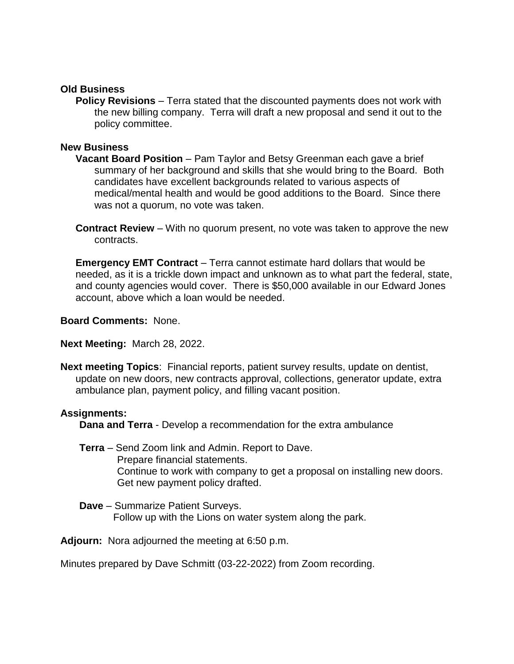## **Old Business**

**Policy Revisions** – Terra stated that the discounted payments does not work with the new billing company. Terra will draft a new proposal and send it out to the policy committee.

## **New Business**

- **Vacant Board Position**  Pam Taylor and Betsy Greenman each gave a brief summary of her background and skills that she would bring to the Board. Both candidates have excellent backgrounds related to various aspects of medical/mental health and would be good additions to the Board. Since there was not a quorum, no vote was taken.
- **Contract Review** With no quorum present, no vote was taken to approve the new contracts.

**Emergency EMT Contract** – Terra cannot estimate hard dollars that would be needed, as it is a trickle down impact and unknown as to what part the federal, state, and county agencies would cover. There is \$50,000 available in our Edward Jones account, above which a loan would be needed.

**Board Comments:** None.

## **Next Meeting:** March 28, 2022.

**Next meeting Topics**: Financial reports, patient survey results, update on dentist, update on new doors, new contracts approval, collections, generator update, extra ambulance plan, payment policy, and filling vacant position.

## **Assignments:**

**Dana and Terra** - Develop a recommendation for the extra ambulance

- **Terra** Send Zoom link and Admin. Report to Dave. Prepare financial statements. Continue to work with company to get a proposal on installing new doors. Get new payment policy drafted.
- **Dave**  Summarize Patient Surveys. Follow up with the Lions on water system along the park.

**Adjourn:** Nora adjourned the meeting at 6:50 p.m.

Minutes prepared by Dave Schmitt (03-22-2022) from Zoom recording.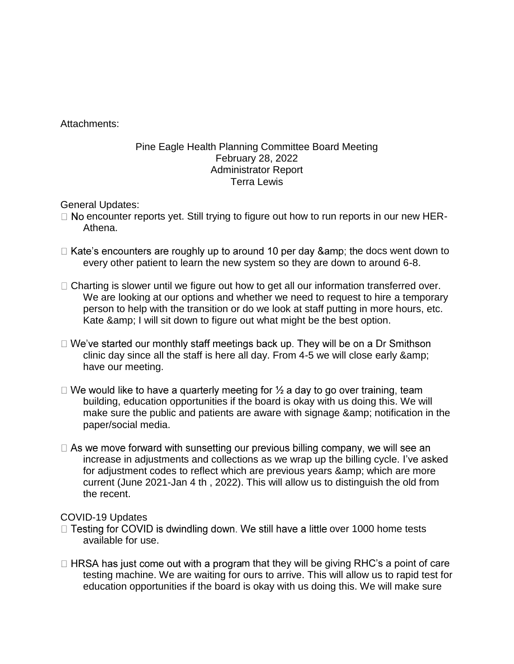Attachments:

# Pine Eagle Health Planning Committee Board Meeting February 28, 2022 Administrator Report Terra Lewis

General Updates:

- $\Box$  No encounter reports yet. Still trying to figure out how to run reports in our new HER-Athena.
- $\Box$  Kate's encounters are roughly up to around 10 per day & the docs went down to every other patient to learn the new system so they are down to around 6-8.
- $\Box$  Charting is slower until we figure out how to get all our information transferred over. We are looking at our options and whether we need to request to hire a temporary person to help with the transition or do we look at staff putting in more hours, etc. Kate & amp; I will sit down to figure out what might be the best option.
- $\Box$  We've started our monthly staff meetings back up. They will be on a Dr Smithson clinic day since all the staff is here all day. From 4-5 we will close early & have our meeting.
- $\Box$  We would like to have a quarterly meeting for  $\frac{1}{2}$  a day to go over training, team building, education opportunities if the board is okay with us doing this. We will make sure the public and patients are aware with signage & amp; notification in the paper/social media.
- $\Box$  As we move forward with sunsetting our previous billing company, we will see an increase in adjustments and collections as we wrap up the billing cycle. I've asked for adjustment codes to reflect which are previous years & amp; which are more current (June 2021-Jan 4 th , 2022). This will allow us to distinguish the old from the recent.

# COVID-19 Updates

- $\Box$  Testing for COVID is dwindling down. We still have a little over 1000 home tests available for use.
- $\Box$  HRSA has just come out with a program that they will be giving RHC's a point of care testing machine. We are waiting for ours to arrive. This will allow us to rapid test for education opportunities if the board is okay with us doing this. We will make sure